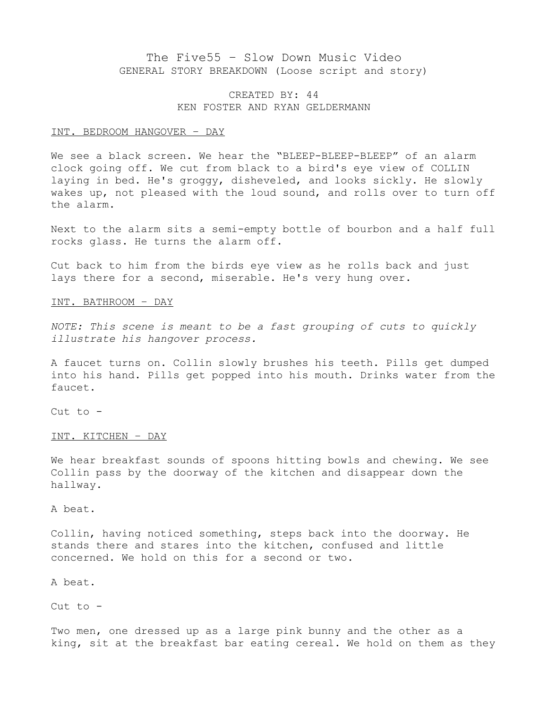# The Five55 – Slow Down Music Video GENERAL STORY BREAKDOWN (Loose script and story)

## CREATED BY: 44 KEN FOSTER AND RYAN GELDERMANN

### INT. BEDROOM HANGOVER – DAY

We see a black screen. We hear the "BLEEP-BLEEP-BLEEP" of an alarm clock going off. We cut from black to a bird's eye view of COLLIN laying in bed. He's groggy, disheveled, and looks sickly. He slowly wakes up, not pleased with the loud sound, and rolls over to turn off the alarm.

Next to the alarm sits a semi-empty bottle of bourbon and a half full rocks glass. He turns the alarm off.

Cut back to him from the birds eye view as he rolls back and just lays there for a second, miserable. He's very hung over.

## INT. BATHROOM – DAY

*NOTE: This scene is meant to be a fast grouping of cuts to quickly illustrate his hangover process.*

A faucet turns on. Collin slowly brushes his teeth. Pills get dumped into his hand. Pills get popped into his mouth. Drinks water from the faucet.

Cut to -

#### INT. KITCHEN – DAY

We hear breakfast sounds of spoons hitting bowls and chewing. We see Collin pass by the doorway of the kitchen and disappear down the hallway.

A beat.

Collin, having noticed something, steps back into the doorway. He stands there and stares into the kitchen, confused and little concerned. We hold on this for a second or two.

### A beat.

Cut to -

Two men, one dressed up as a large pink bunny and the other as a king, sit at the breakfast bar eating cereal. We hold on them as they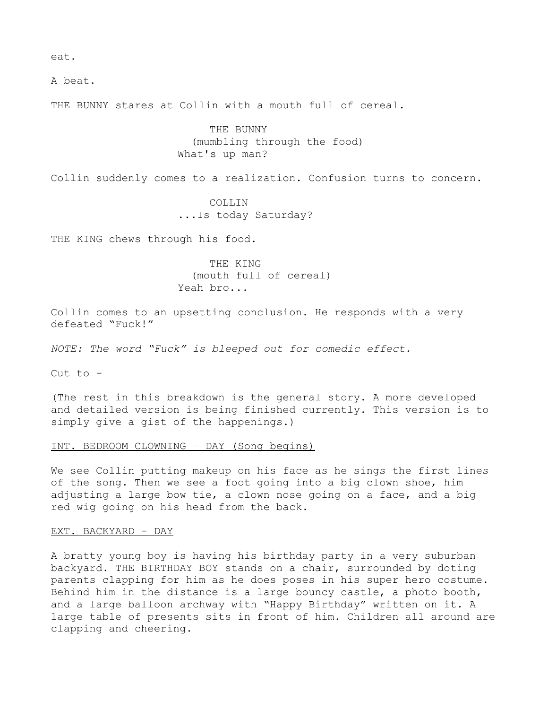eat.

A beat.

THE BUNNY stares at Collin with a mouth full of cereal.

THE BUNNY (mumbling through the food) What's up man?

Collin suddenly comes to a realization. Confusion turns to concern.

COLLIN ...Is today Saturday?

THE KING chews through his food.

THE KING (mouth full of cereal) Yeah bro...

Collin comes to an upsetting conclusion. He responds with a very defeated "Fuck!"

*NOTE: The word "Fuck" is bleeped out for comedic effect.*

Cut to  $-$ 

(The rest in this breakdown is the general story. A more developed and detailed version is being finished currently. This version is to simply give a gist of the happenings.)

#### INT. BEDROOM CLOWNING – DAY (Song begins)

We see Collin putting makeup on his face as he sings the first lines of the song. Then we see a foot going into a big clown shoe, him adjusting a large bow tie, a clown nose going on a face, and a big red wig going on his head from the back.

### EXT. BACKYARD - DAY

A bratty young boy is having his birthday party in a very suburban backyard. THE BIRTHDAY BOY stands on a chair, surrounded by doting parents clapping for him as he does poses in his super hero costume. Behind him in the distance is a large bouncy castle, a photo booth, and a large balloon archway with "Happy Birthday" written on it. A large table of presents sits in front of him. Children all around are clapping and cheering.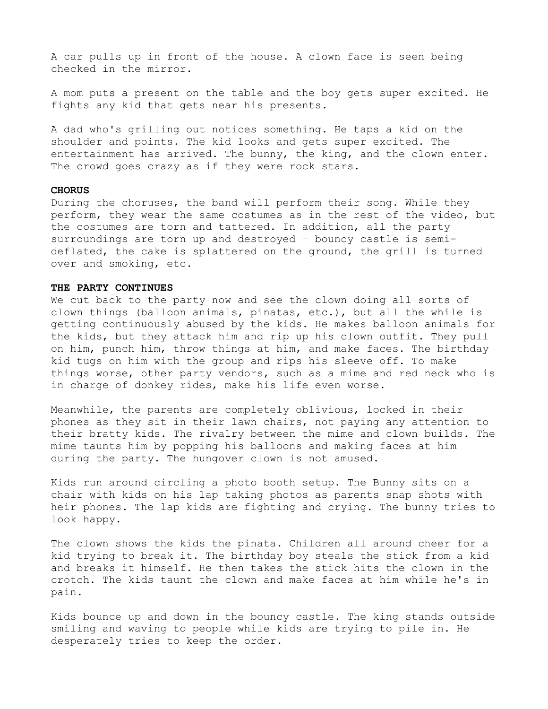A car pulls up in front of the house. A clown face is seen being checked in the mirror.

A mom puts a present on the table and the boy gets super excited. He fights any kid that gets near his presents.

A dad who's grilling out notices something. He taps a kid on the shoulder and points. The kid looks and gets super excited. The entertainment has arrived. The bunny, the king, and the clown enter. The crowd goes crazy as if they were rock stars.

#### **CHORUS**

During the choruses, the band will perform their song. While they perform, they wear the same costumes as in the rest of the video, but the costumes are torn and tattered. In addition, all the party surroundings are torn up and destroyed – bouncy castle is semideflated, the cake is splattered on the ground, the grill is turned over and smoking, etc.

### **THE PARTY CONTINUES**

We cut back to the party now and see the clown doing all sorts of clown things (balloon animals, pinatas, etc.), but all the while is getting continuously abused by the kids. He makes balloon animals for the kids, but they attack him and rip up his clown outfit. They pull on him, punch him, throw things at him, and make faces. The birthday kid tugs on him with the group and rips his sleeve off. To make things worse, other party vendors, such as a mime and red neck who is in charge of donkey rides, make his life even worse.

Meanwhile, the parents are completely oblivious, locked in their phones as they sit in their lawn chairs, not paying any attention to their bratty kids. The rivalry between the mime and clown builds. The mime taunts him by popping his balloons and making faces at him during the party. The hungover clown is not amused.

Kids run around circling a photo booth setup. The Bunny sits on a chair with kids on his lap taking photos as parents snap shots with heir phones. The lap kids are fighting and crying. The bunny tries to look happy.

The clown shows the kids the pinata. Children all around cheer for a kid trying to break it. The birthday boy steals the stick from a kid and breaks it himself. He then takes the stick hits the clown in the crotch. The kids taunt the clown and make faces at him while he's in pain.

Kids bounce up and down in the bouncy castle. The king stands outside smiling and waving to people while kids are trying to pile in. He desperately tries to keep the order.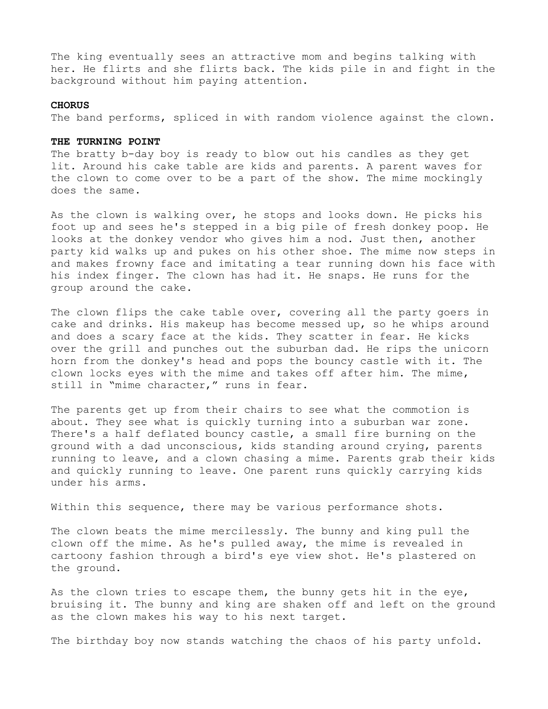The king eventually sees an attractive mom and begins talking with her. He flirts and she flirts back. The kids pile in and fight in the background without him paying attention.

### **CHORUS**

The band performs, spliced in with random violence against the clown.

#### **THE TURNING POINT**

The bratty b-day boy is ready to blow out his candles as they get lit. Around his cake table are kids and parents. A parent waves for the clown to come over to be a part of the show. The mime mockingly does the same.

As the clown is walking over, he stops and looks down. He picks his foot up and sees he's stepped in a big pile of fresh donkey poop. He looks at the donkey vendor who gives him a nod. Just then, another party kid walks up and pukes on his other shoe. The mime now steps in and makes frowny face and imitating a tear running down his face with his index finger. The clown has had it. He snaps. He runs for the group around the cake.

The clown flips the cake table over, covering all the party goers in cake and drinks. His makeup has become messed up, so he whips around and does a scary face at the kids. They scatter in fear. He kicks over the grill and punches out the suburban dad. He rips the unicorn horn from the donkey's head and pops the bouncy castle with it. The clown locks eyes with the mime and takes off after him. The mime, still in "mime character," runs in fear.

The parents get up from their chairs to see what the commotion is about. They see what is quickly turning into a suburban war zone. There's a half deflated bouncy castle, a small fire burning on the ground with a dad unconscious, kids standing around crying, parents running to leave, and a clown chasing a mime. Parents grab their kids and quickly running to leave. One parent runs quickly carrying kids under his arms.

Within this sequence, there may be various performance shots.

The clown beats the mime mercilessly. The bunny and king pull the clown off the mime. As he's pulled away, the mime is revealed in cartoony fashion through a bird's eye view shot. He's plastered on the ground.

As the clown tries to escape them, the bunny gets hit in the eye, bruising it. The bunny and king are shaken off and left on the ground as the clown makes his way to his next target.

The birthday boy now stands watching the chaos of his party unfold.